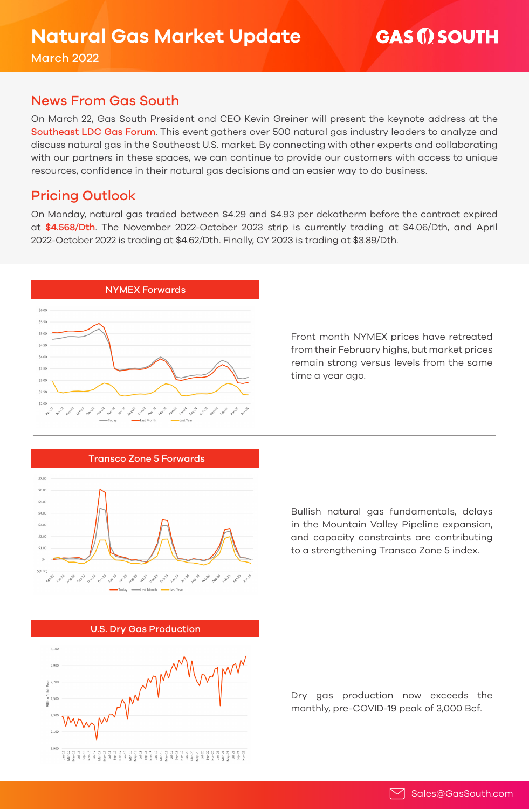March 2022

## News From Gas South

On March 22, Gas South President and CEO Kevin Greiner will present the keynote address at the [Southeast LDC Gas Forum](https://www.ldcgasforums.com/se/). This event gathers over 500 natural gas industry leaders to analyze and discuss natural gas in the Southeast U.S. market. By connecting with other experts and collaborating with our partners in these spaces, we can continue to provide our customers with access to unique resources, confidence in their natural gas decisions and an easier way to do business.

# Pricing Outlook

On Monday, natural gas traded between \$4.29 and \$4.93 per dekatherm before the contract expired at \$4.568/Dth. The November 2022-October 2023 strip is currently trading at \$4.06/Dth, and April 2022-October 2022 is trading at \$4.62/Dth. Finally, CY 2023 is trading at \$3.89/Dth.



Front month NYMEX prices have retreated from their February highs, but market prices remain strong versus levels from the same time a year ago.



Bullish natural gas fundamentals, delays in the Mountain Valley Pipeline expansion, and capacity constraints are contributing to a strengthening Transco Zone 5 index.



Dry gas production now exceeds the monthly, pre-COVID-19 peak of 3,000 Bcf.